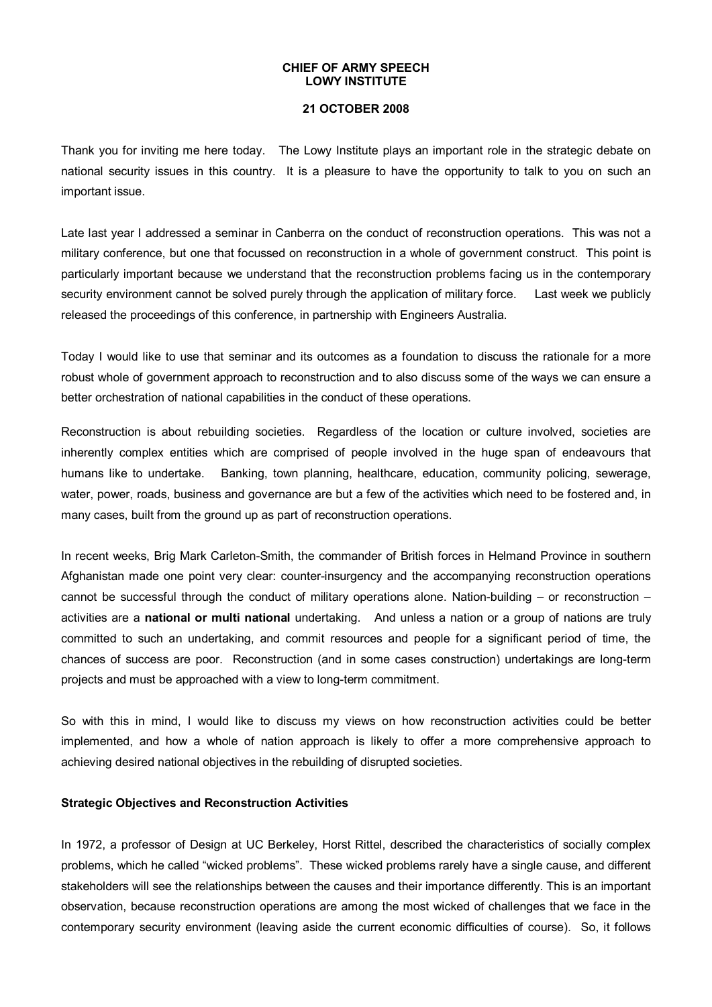#### **CHIEF OF ARMY SPEECH LOWY INSTITUTE**

## **21 OCTOBER 2008**

Thank you for inviting me here today. The Lowy Institute plays an important role in the strategic debate on national security issues in this country. It is a pleasure to have the opportunity to talk to you on such an important issue.

Late last year I addressed a seminar in Canberra on the conduct of reconstruction operations. This was not a military conference, but one that focussed on reconstruction in a whole of government construct. This point is particularly important because we understand that the reconstruction problems facing us in the contemporary security environment cannot be solved purely through the application of military force. Last week we publicly released the proceedings of this conference, in partnership with Engineers Australia.

Today I would like to use that seminar and its outcomes as a foundation to discuss the rationale for a more robust whole of government approach to reconstruction and to also discuss some of the ways we can ensure a better orchestration of national capabilities in the conduct of these operations.

Reconstruction is about rebuilding societies. Regardless of the location or culture involved, societies are inherently complex entities which are comprised of people involved in the huge span of endeavours that humans like to undertake. Banking, town planning, healthcare, education, community policing, sewerage, water, power, roads, business and governance are but a few of the activities which need to be fostered and, in many cases, built from the ground up as part of reconstruction operations.

In recent weeks, Brig Mark Carleton-Smith, the commander of British forces in Helmand Province in southern Afghanistan made one point very clear: counter-insurgency and the accompanying reconstruction operations cannot be successful through the conduct of military operations alone. Nation-building – or reconstruction  $$ activities are a **national or multi national** undertaking. And unless a nation or a group of nations are truly committed to such an undertaking, and commit resources and people for a significant period of time, the chances of success are poor. Reconstruction (and in some cases construction) undertakings are long-term projects and must be approached with a view to long-term commitment.

So with this in mind, I would like to discuss my views on how reconstruction activities could be better implemented, and how a whole of nation approach is likely to offer a more comprehensive approach to achieving desired national objectives in the rebuilding of disrupted societies.

#### **Strategic Objectives and Reconstruction Activities**

In 1972, a professor of Design at UC Berkeley, Horst Rittel, described the characteristics of socially complex problems, which he called "wicked problems". These wicked problems rarely have a single cause, and different stakeholders will see the relationships between the causes and their importance differently. This is an important observation, because reconstruction operations are among the most wicked of challenges that we face in the contemporary security environment (leaving aside the current economic difficulties of course). So, it follows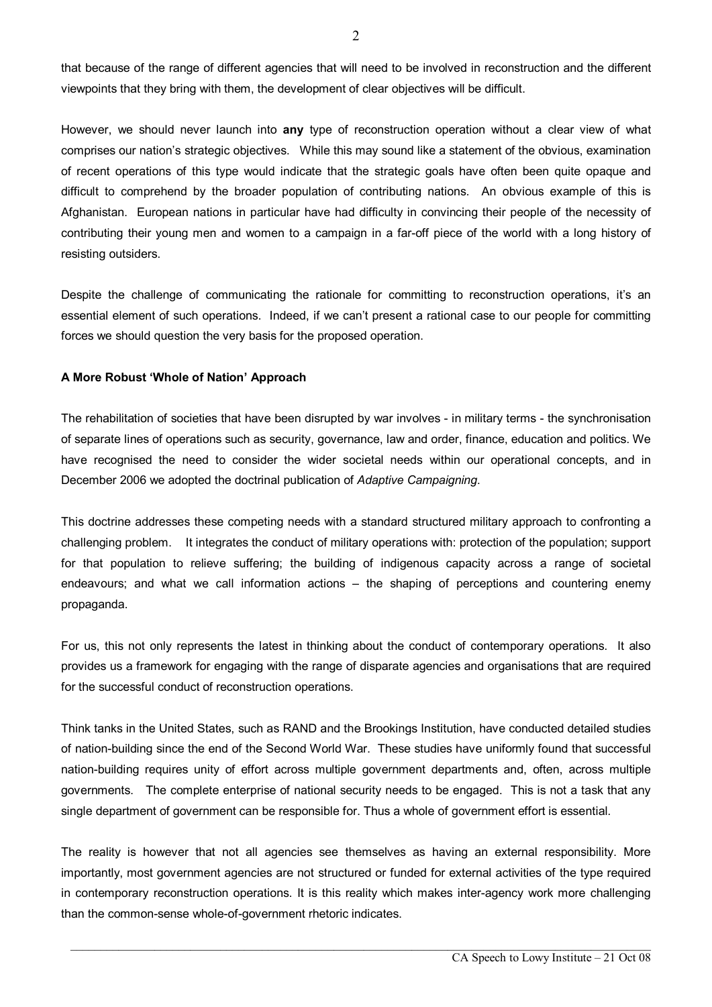that because of the range of different agencies that will need to be involved in reconstruction and the different viewpoints that they bring with them, the development of clear objectives will be difficult.

However, we should never launch into **any** type of reconstruction operation without a clear view of what comprises our nation's strategic objectives. While this may sound like a statement of the obvious, examination of recent operations of this type would indicate that the strategic goals have often been quite opaque and difficult to comprehend by the broader population of contributing nations. An obvious example of this is Afghanistan. European nations in particular have had difficulty in convincing their people of the necessity of contributing their young men and women to a campaign in a far-off piece of the world with a long history of resisting outsiders.

Despite the challenge of communicating the rationale for committing to reconstruction operations, it's an essential element of such operations. Indeed, if we can't present a rational case to our people for committing forces we should question the very basis for the proposed operation.

## **A More Robust 'Whole of Nation' Approach**

The rehabilitation of societies that have been disrupted by war involves - in military terms - the synchronisation of separate lines of operations such as security, governance, law and order, finance, education and politics. We have recognised the need to consider the wider societal needs within our operational concepts, and in December 2006 we adopted the doctrinal publication of *Adaptive Campaigning*.

This doctrine addresses these competing needs with a standard structured military approach to confronting a challenging problem. It integrates the conduct of military operations with: protection of the population; support for that population to relieve suffering; the building of indigenous capacity across a range of societal endeavours; and what we call information actions – the shaping of perceptions and countering enemy propaganda.

For us, this not only represents the latest in thinking about the conduct of contemporary operations. It also provides us a framework for engaging with the range of disparate agencies and organisations that are required for the successful conduct of reconstruction operations.

Think tanks in the United States, such as RAND and the Brookings Institution, have conducted detailed studies of nation-building since the end of the Second World War. These studies have uniformly found that successful nation-building requires unity of effort across multiple government departments and, often, across multiple governments. The complete enterprise of national security needs to be engaged. This is not a task that any single department of government can be responsible for. Thus a whole of government effort is essential.

The reality is however that not all agencies see themselves as having an external responsibility. More importantly, most government agencies are not structured or funded for external activities of the type required in contemporary reconstruction operations. It is this reality which makes inter-agency work more challenging than the common-sense whole-of-government rhetoric indicates.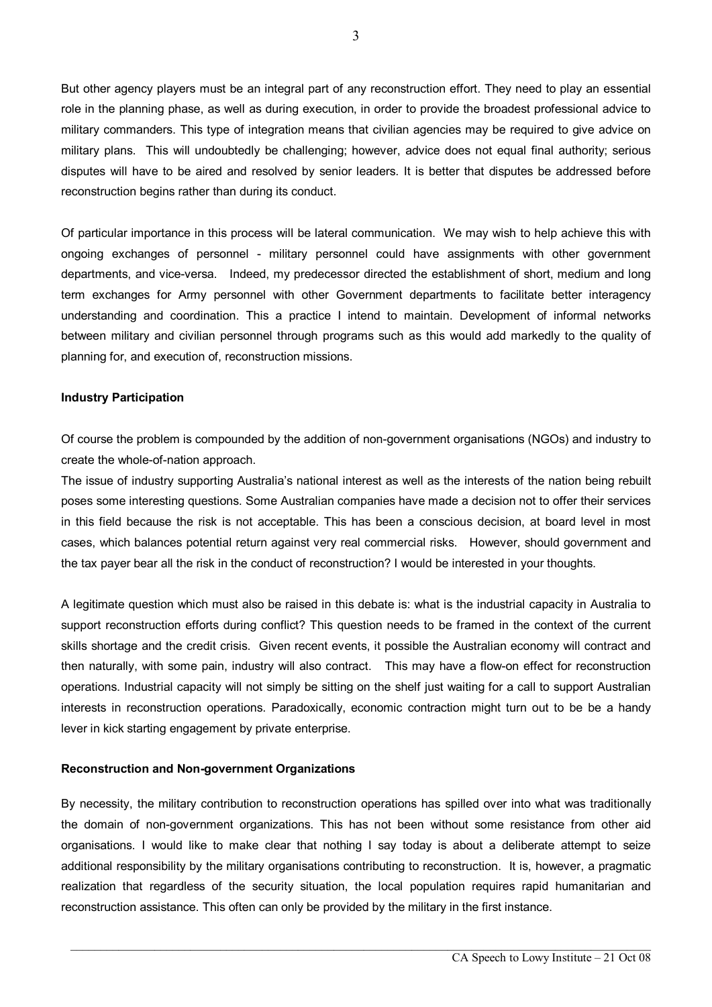But other agency players must be an integral part of any reconstruction effort. They need to play an essential role in the planning phase, as well as during execution, in order to provide the broadest professional advice to military commanders. This type of integration means that civilian agencies may be required to give advice on military plans. This will undoubtedly be challenging; however, advice does not equal final authority; serious disputes will have to be aired and resolved by senior leaders. It is better that disputes be addressed before reconstruction begins rather than during its conduct.

Of particular importance in this process will be lateral communication. We may wish to help achieve this with ongoing exchanges of personnel military personnel could have assignments with other government departments, and vice-versa. Indeed, my predecessor directed the establishment of short, medium and long term exchanges for Army personnel with other Government departments to facilitate better interagency understanding and coordination. This a practice I intend to maintain. Development of informal networks between military and civilian personnel through programs such as this would add markedly to the quality of planning for, and execution of, reconstruction missions.

## **Industry Participation**

Of course the problem iscompounded by the addition of nongovernment organisations (NGOs) and industry to create the whole-of-nation approach.

The issue of industry supporting Australia's national interest as well as the interests of the nation being rebuilt poses some interesting questions. Some Australian companies have made a decision not to offer their services in this field because the risk is not acceptable. This has been a conscious decision, at board level in most cases, which balances potential return against very real commercial risks. However, should government and the tax payer bear all the risk in the conduct of reconstruction? I would be interested in your thoughts.

A legitimate question which must also be raised in this debate is: what is the industrial capacity in Australia to support reconstruction efforts during conflict? This question needs to be framed in the context of the current skills shortage and the credit crisis. Given recent events, it possible the Australian economy will contract and then naturally, with some pain, industry will also contract. This may have a flow-on effect for reconstruction operations. Industrial capacity will not simply be sitting on the shelf just waiting for a call to support Australian interests in reconstruction operations. Paradoxically, economic contraction might turn out to be be a handy lever in kick starting engagement by private enterprise.

## **Reconstruction and Nongovernment Organizations**

By necessity, the military contribution to reconstruction operations has spilled over into what was traditionally the domain of non-government organizations. This has not been without some resistance from other aid organisations. I would like to make clear that nothing I say today is about a deliberate attempt to seize additional responsibility by the military organisations contributing to reconstruction. It is, however, a pragmatic realization that regardless of the security situation, the local population requires rapid humanitarian and reconstruction assistance. This often can only be provided by the military in the first instance.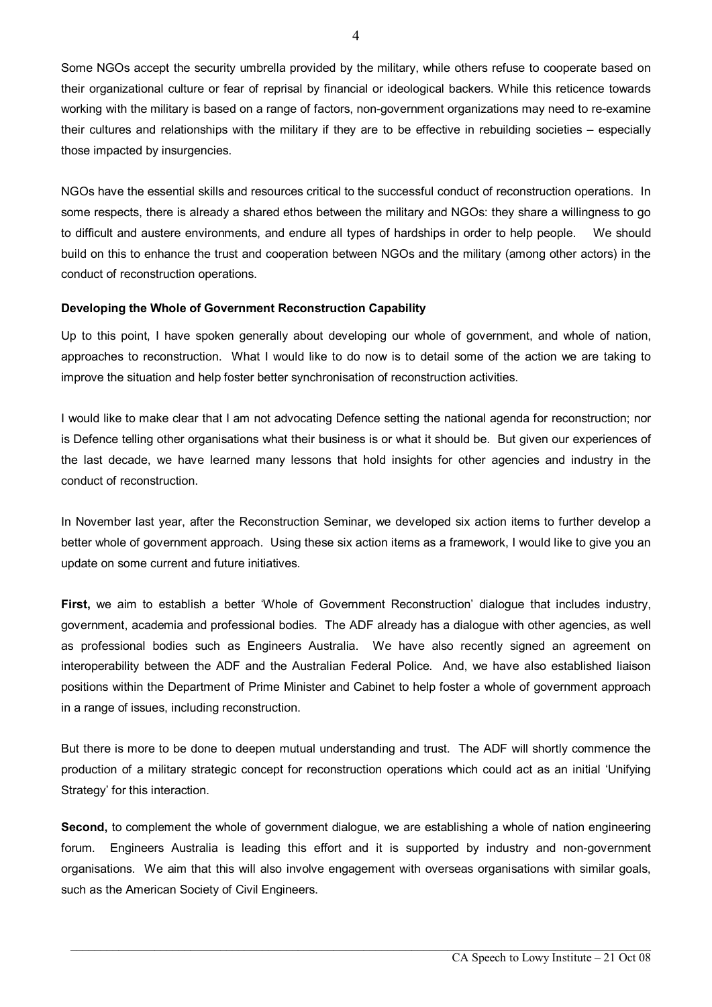Some NGOs accept the security umbrella provided by the military, while others refuse to cooperate based on their organizational culture or fear of reprisal by financial or ideological backers. While this reticence towards working with the military is based on a range of factors, non-government organizations may need to re-examine their cultures and relationships with the military if they are to be effective in rebuilding societies – especially those impacted by insurgencies.

NGOs have the essential skills and resources critical to the successful conduct of reconstruction operations. In some respects, there is already a shared ethos between the military and NGOs: they share a willingness to go to difficult and austere environments, and endure all types of hardships in order to help people. We should build on this to enhance the trust and cooperation between NGOs and the military (among other actors) in the conduct of reconstruction operations.

# **Developing the Whole of Government Reconstruction Capability**

Up to this point, I have spoken generally about developing our whole of government, and whole of nation, approaches to reconstruction. What I would like to do now is to detail some of the action we are taking to improve the situation and help foster better synchronisation of reconstruction activities.

I would like to make clear that I am not advocating Defence setting the national agenda for reconstruction; nor is Defence telling other organisations what their business is or what it should be. But given our experiences of the last decade, we have learned many lessons that hold insights for other agencies and industry in the conduct of reconstruction.

In November last year, after the Reconstruction Seminar, we developed six action items to further develop a better whole of government approach. Using these six action items as a framework, I would like to give you an update on some current and future initiatives.

**First,** we aim to establish a better 'Whole of Government Reconstruction' dialogue that includes industry, government, academia and professional bodies. The ADF already has a dialogue with other agencies, as well as professional bodies such as Engineers Australia. We have also recently signed an agreement on interoperability between the ADF and the Australian Federal Police. And, we have also established liaison positions within the Department of Prime Minister and Cabinet to help foster a whole of government approach in a range of issues, including reconstruction.

But there is more to be done to deepen mutual understanding and trust. The ADF will shortly commence the production of a military strategic concept for reconstruction operations which could act as an initial 'Unifying Strategy' for this interaction.

**Second,** to complement the whole of government dialogue, we are establishing a whole of nation engineering forum. Engineers Australia is leading this effort and it is supported by industry and nongovernment organisations. We aim that this will also involve engagement with overseas organisations with similar goals, such as the American Society of Civil Engineers.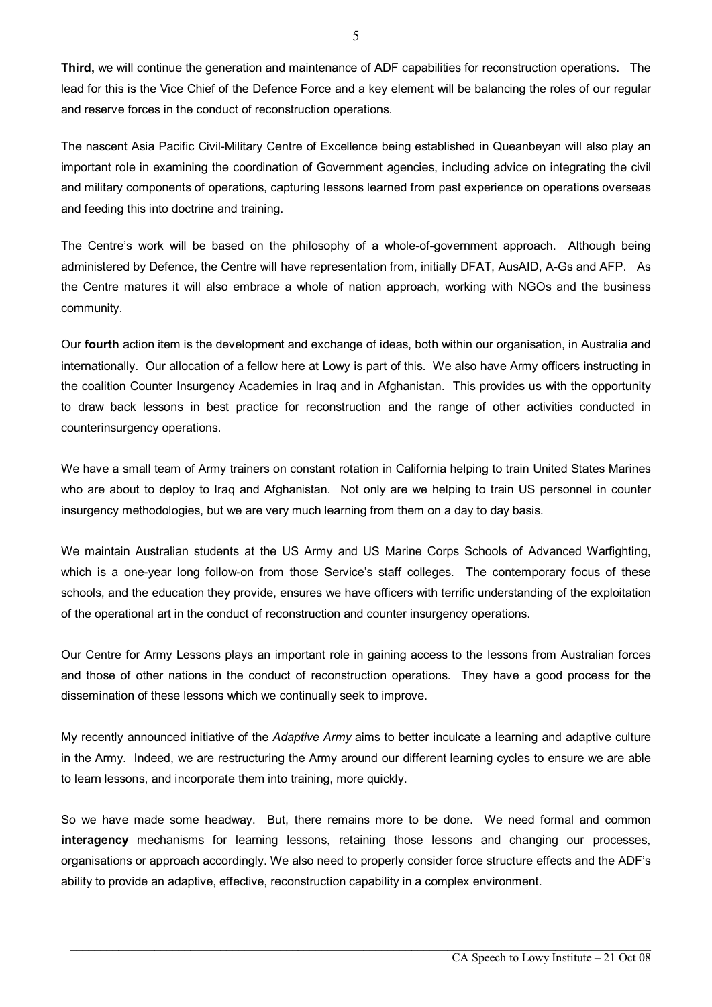**Third,** we will continue the generation and maintenance of ADF capabilities for reconstruction operations. The lead for this is the Vice Chief of the Defence Force and a key element will be balancing the roles of our regular and reserve forces in the conduct of reconstruction operations.

The nascent Asia Pacific Civil-Military Centre of Excellence being established in Queanbeyan will also play an important role in examining the coordination of Government agencies, including advice on integrating the civil and military components of operations, capturing lessons learned from past experience on operations overseas and feeding this into doctrine and training.

The Centre's work will be based on the philosophy of a whole-of-government approach. Although being administered by Defence, the Centre will have representation from, initially DFAT, AusAID, A-Gs and AFP. As the Centre matures it will also embrace a whole of nation approach, working with NGOs and the business community.

Our **fourth** action item is the development and exchange of ideas, both within our organisation, in Australia and internationally. Our allocation of a fellow here at Lowy is part of this. We also have Army officers instructing in the coalition Counter Insurgency Academies in Iraq and in Afghanistan. This provides us with the opportunity to draw back lessons in best practice for reconstruction and the range of other activities conducted in counterinsurgency operations.

We have a small team of Army trainers on constant rotation in California helping to train United States Marines who are about to deploy to Iraq and Afghanistan. Not only are we helping to train US personnel in counter insurgency methodologies, but we are very much learning from them on a day to day basis.

We maintain Australian students at the US Army and US Marine Corps Schools of Advanced Warfighting, which is a one-year long follow-on from those Service's staff colleges. The contemporary focus of these schools, and the education they provide, ensures we have officers with terrific understanding of the exploitation of the operational art in the conduct of reconstruction and counter insurgency operations.

Our Centre for Army Lessons plays an important role in gaining access to the lessons from Australian forces and those of other nations in the conduct of reconstruction operations. They have a good process for the dissemination of these lessons which we continually seek to improve.

My recently announced initiative of the *Adaptive Army* aims to better inculcate a learning and adaptive culture in the Army. Indeed, we are restructuring the Army around our different learning cycles to ensure we are able to learn lessons, and incorporate them into training, more quickly.

So we have made some headway. But, there remains more to be done. We need formal and common **interagency** mechanisms for learning lessons, retaining those lessons and changing our processes, organisations or approach accordingly. We also need to properly consider force structure effects and the ADF's ability to provide an adaptive, effective, reconstruction capability in a complex environment.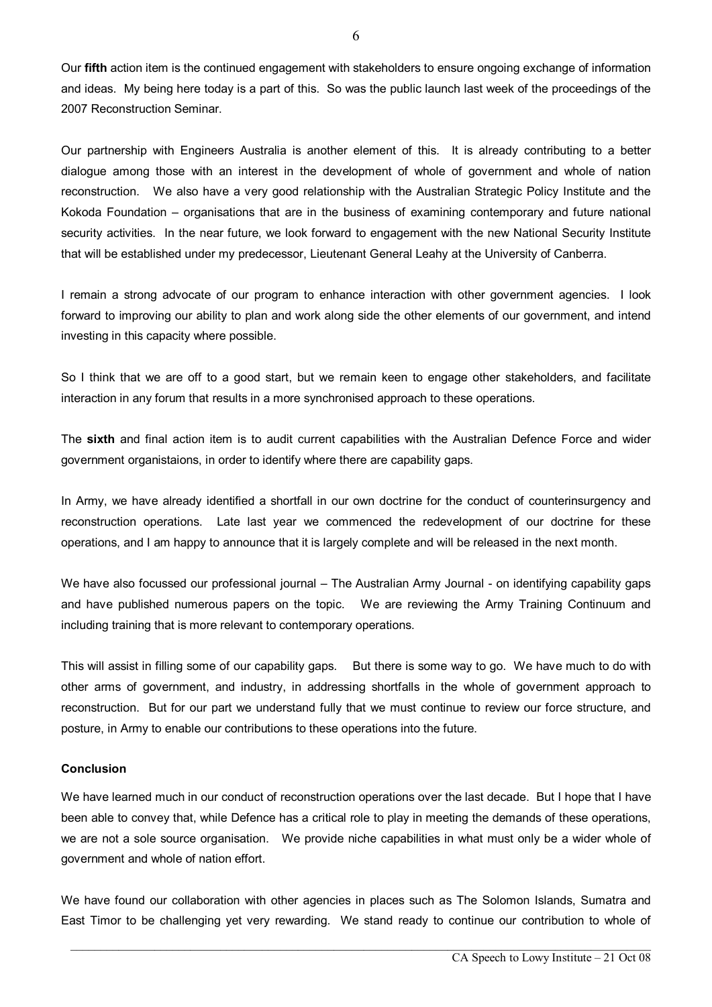Our **fifth** action item is the continued engagement with stakeholders to ensure ongoing exchange of information and ideas. My being here today is a part of this. So was the public launch last week of the proceedings of the 2007 Reconstruction Seminar.

Our partnership with Engineers Australia is another element of this. It is already contributing to a better dialogue among those with an interest in the development of whole of government and whole of nation reconstruction. We also have a very good relationship with the Australian Strategic Policy Institute and the Kokoda Foundation – organisations that are in the business of examining contemporary and future national security activities. In the near future, we look forward to engagement with the new National Security Institute that will be established under my predecessor, Lieutenant General Leahy at the University of Canberra.

I remain a strong advocate of our program to enhance interaction with other government agencies. I look forward to improving our ability to plan and work along side the other elements of our government, and intend investing in this capacity where possible.

So I think that we are off to a good start, but we remain keen to engage other stakeholders, and facilitate interaction in any forum that results in a more synchronised approach to these operations.

The **sixth** and final action item is to audit current capabilities with the Australian Defence Force and wider government organistaions, in order to identify where there are capability gaps.

In Army, we have already identified a shortfall in our own doctrine for the conduct of counterinsurgency and reconstruction operations. Late last year we commenced the redevelopment of our doctrine for these operations, and I am happy to announce that it is largely complete and will be released in the next month.

We have also focussed our professional journal – The Australian Army Journal - on identifying capability gaps and have published numerous papers on the topic. We are reviewing the Army Training Continuum and including training that is more relevant to contemporary operations.

This will assist in filling some of our capability gaps. But there is some way to go. We have much to do with other arms of government, and industry, in addressing shortfalls in the whole of government approach to reconstruction. But for our part we understand fully that we must continue to review our force structure, and posture, in Army to enable our contributions to these operations into the future.

## **Conclusion**

We have learned much in our conduct of reconstruction operations over the last decade. But I hope that I have been able to convey that, while Defence has a critical role to play in meeting the demands of these operations, we are not a sole source organisation. We provide niche capabilities in what must only be a wider whole of government and whole of nation effort.

We have found our collaboration with other agencies in places such as The Solomon Islands, Sumatra and East Timor to be challenging yet very rewarding. We stand ready to continue our contribution to whole of